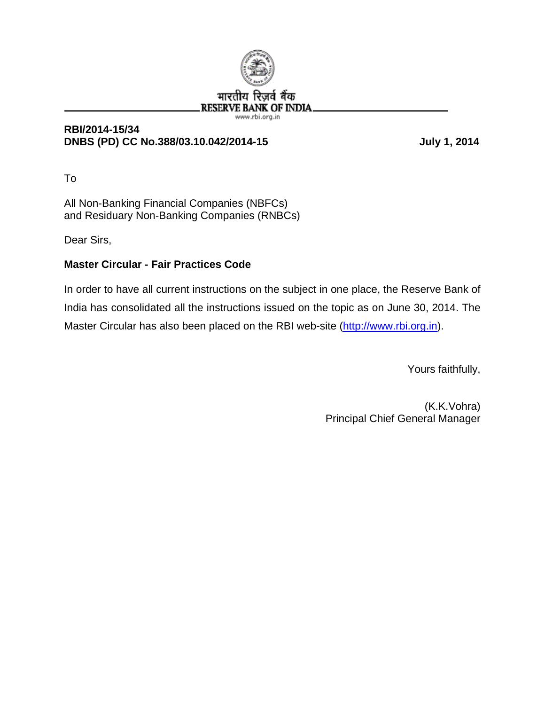

#### **RBI/2014-15/34 DNBS (PD) CC No.388/03.10.042/2014-15 July 1, 2014**

To

All Non-Banking Financial Companies (NBFCs) and Residuary Non-Banking Companies (RNBCs)

Dear Sirs,

## **Master Circular - Fair Practices Code**

In order to have all current instructions on the subject in one place, the Reserve Bank of India has consolidated all the instructions issued on the topic as on June 30, 2014. The Master Circular has also been placed on the RBI web-site (http://www.rbi.org.in).

Yours faithfully,

(K.K.Vohra) Principal Chief General Manager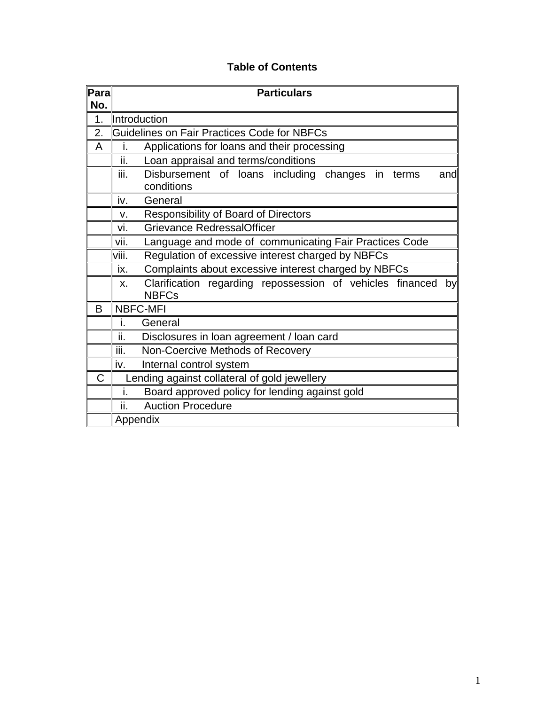|  |  |  | <b>Table of Contents</b> |
|--|--|--|--------------------------|
|--|--|--|--------------------------|

| $\bar{\mathbf{P}}$ ara $\parallel$ | <b>Particulars</b>                                                                    |  |  |  |
|------------------------------------|---------------------------------------------------------------------------------------|--|--|--|
| No.                                |                                                                                       |  |  |  |
| 1.                                 | <b>Introduction</b>                                                                   |  |  |  |
| 2.                                 | Guidelines on Fair Practices Code for NBFCs                                           |  |  |  |
| Α                                  | Applications for loans and their processing<br>i.                                     |  |  |  |
|                                    | ii.<br>Loan appraisal and terms/conditions                                            |  |  |  |
|                                    | iii.<br>Disbursement of loans including changes in terms<br>and<br>conditions         |  |  |  |
|                                    | iv.<br>General                                                                        |  |  |  |
|                                    | <b>Responsibility of Board of Directors</b><br>v.                                     |  |  |  |
|                                    | <b>Grievance RedressalOfficer</b><br>vi.                                              |  |  |  |
|                                    | Language and mode of communicating Fair Practices Code<br>vii.                        |  |  |  |
|                                    | Regulation of excessive interest charged by NBFCs<br>viii.                            |  |  |  |
|                                    | Complaints about excessive interest charged by NBFCs<br>ix.                           |  |  |  |
|                                    | Clarification regarding repossession of vehicles financed<br>by<br>X.<br><b>NBFCs</b> |  |  |  |
| B                                  | <b>NBFC-MFI</b>                                                                       |  |  |  |
|                                    | i.<br>General                                                                         |  |  |  |
|                                    | ii.<br>Disclosures in loan agreement / loan card                                      |  |  |  |
|                                    | iii.<br>Non-Coercive Methods of Recovery                                              |  |  |  |
|                                    | $iv_{\pm}$<br>Internal control system                                                 |  |  |  |
| C                                  | Lending against collateral of gold jewellery                                          |  |  |  |
|                                    | Board approved policy for lending against gold<br>i.                                  |  |  |  |
|                                    | ii.<br><b>Auction Procedure</b>                                                       |  |  |  |
|                                    | Appendix                                                                              |  |  |  |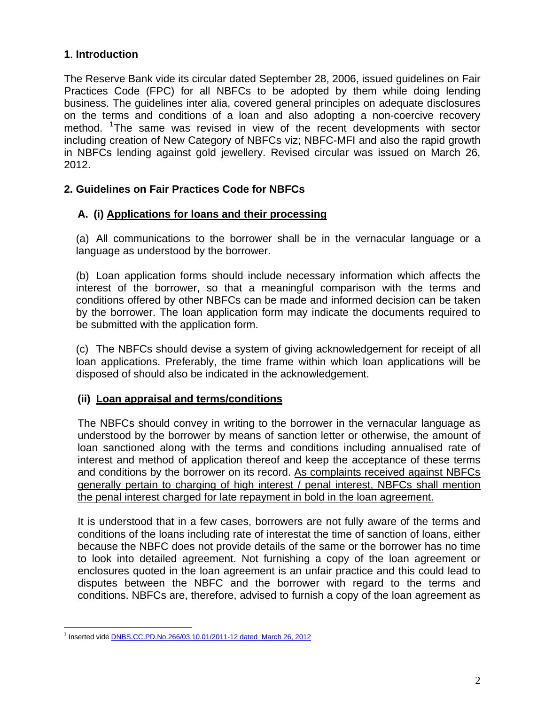## **1**. **Introduction**

The Reserve Bank vide its circular dated September 28, 2006, issued guidelines on Fair Practices Code (FPC) for all NBFCs to be adopted by them while doing lending business. The guidelines inter alia, covered general principles on adequate disclosures on the terms and conditions of a loan and also adopting a non-coercive recovery method. <sup>[1](#page-2-0)</sup>The same was revised in view of the recent developments with sector including creation of New Category of NBFCs viz; NBFC-MFI and also the rapid growth in NBFCs lending against gold jewellery. Revised circular was issued on March 26, 2012.

## **2. Guidelines on Fair Practices Code for NBFCs**

## **A. (i) Applications for loans and their processing**

(a) All communications to the borrower shall be in the vernacular language or a language as understood by the borrower.

(b) Loan application forms should include necessary information which affects the interest of the borrower, so that a meaningful comparison with the terms and conditions offered by other NBFCs can be made and informed decision can be taken by the borrower. The loan application form may indicate the documents required to be submitted with the application form.

(c) The NBFCs should devise a system of giving acknowledgement for receipt of all loan applications. Preferably, the time frame within which loan applications will be disposed of should also be indicated in the acknowledgement.

## **(ii) Loan appraisal and terms/conditions**

The NBFCs should convey in writing to the borrower in the vernacular language as understood by the borrower by means of sanction letter or otherwise, the amount of loan sanctioned along with the terms and conditions including annualised rate of interest and method of application thereof and keep the acceptance of these terms and conditions by the borrower on its record. As complaints received against NBFCs generally pertain to charging of high interest / penal interest, NBFCs shall mention the penal interest charged for late repayment in bold in the loan agreement.

It is understood that in a few cases, borrowers are not fully aware of the terms and conditions of the loans including rate of interestat the time of sanction of loans, either because the NBFC does not provide details of the same or the borrower has no time to look into detailed agreement. Not furnishing a copy of the loan agreement or enclosures quoted in the loan agreement is an unfair practice and this could lead to disputes between the NBFC and the borrower with regard to the terms and conditions. NBFCs are, therefore, advised to furnish a copy of the loan agreement as

<span id="page-2-0"></span> $\overline{a}$ <sup>1</sup> Inserted vide **[DNBS.CC.PD.No.266/03.10.01/2011-12 dated March 26, 2012](http://rbi.org.in/scripts/NotificationUser.aspx?Id=7089&Mode=0)**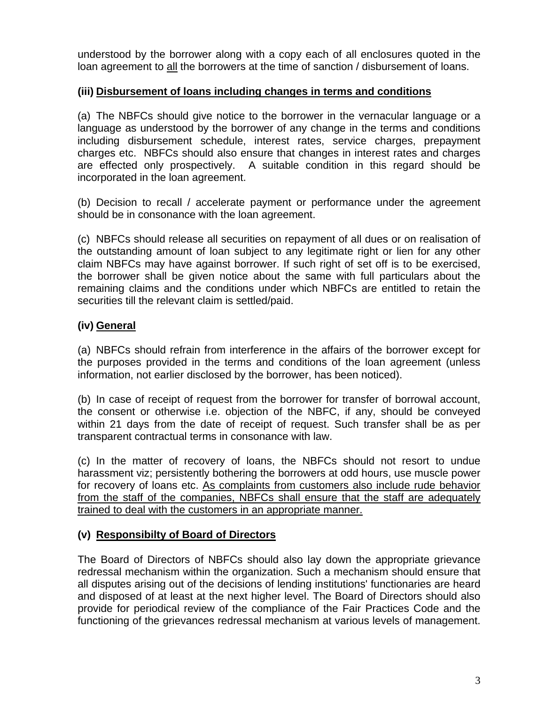understood by the borrower along with a copy each of all enclosures quoted in the loan agreement to all the borrowers at the time of sanction / disbursement of loans.

## **(iii) Disbursement of loans including changes in terms and conditions**

(a) The NBFCs should give notice to the borrower in the vernacular language or a language as understood by the borrower of any change in the terms and conditions including disbursement schedule, interest rates, service charges, prepayment charges etc. NBFCs should also ensure that changes in interest rates and charges are effected only prospectively. A suitable condition in this regard should be incorporated in the loan agreement.

(b) Decision to recall / accelerate payment or performance under the agreement should be in consonance with the loan agreement.

(c) NBFCs should release all securities on repayment of all dues or on realisation of the outstanding amount of loan subject to any legitimate right or lien for any other claim NBFCs may have against borrower. If such right of set off is to be exercised, the borrower shall be given notice about the same with full particulars about the remaining claims and the conditions under which NBFCs are entitled to retain the securities till the relevant claim is settled/paid.

# **(iv) General**

(a) NBFCs should refrain from interference in the affairs of the borrower except for the purposes provided in the terms and conditions of the loan agreement (unless information, not earlier disclosed by the borrower, has been noticed).

(b) In case of receipt of request from the borrower for transfer of borrowal account, the consent or otherwise i.e. objection of the NBFC, if any, should be conveyed within 21 days from the date of receipt of request. Such transfer shall be as per transparent contractual terms in consonance with law.

(c) In the matter of recovery of loans, the NBFCs should not resort to undue harassment viz; persistently bothering the borrowers at odd hours, use muscle power for recovery of loans etc. As complaints from customers also include rude behavior from the staff of the companies, NBFCs shall ensure that the staff are adequately trained to deal with the customers in an appropriate manner.

# **(v) Responsibilty of Board of Directors**

The Board of Directors of NBFCs should also lay down the appropriate grievance redressal mechanism within the organization. Such a mechanism should ensure that all disputes arising out of the decisions of lending institutions' functionaries are heard and disposed of at least at the next higher level. The Board of Directors should also provide for periodical review of the compliance of the Fair Practices Code and the functioning of the grievances redressal mechanism at various levels of management.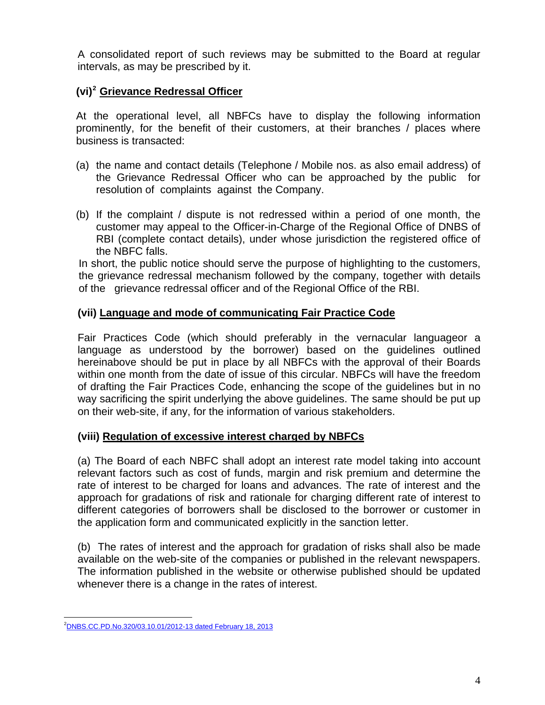A consolidated report of such reviews may be submitted to the Board at regular intervals, as may be prescribed by it.

## **(vi)[2](#page-4-0) Grievance Redressal Officer**

At the operational level, all NBFCs have to display the following information prominently, for the benefit of their customers, at their branches / places where business is transacted:

- (a) the name and contact details (Telephone / Mobile nos. as also email address) of the Grievance Redressal Officer who can be approached by the public for resolution of complaints against the Company.
- (b) If the complaint / dispute is not redressed within a period of one month, the customer may appeal to the Officer-in-Charge of the Regional Office of DNBS of RBI (complete contact details), under whose jurisdiction the registered office of the NBFC falls.

In short, the public notice should serve the purpose of highlighting to the customers, the grievance redressal mechanism followed by the company, together with details of the grievance redressal officer and of the Regional Office of the RBI.

## **(vii) Language and mode of communicating Fair Practice Code**

Fair Practices Code (which should preferably in the vernacular languageor a language as understood by the borrower) based on the guidelines outlined hereinabove should be put in place by all NBFCs with the approval of their Boards within one month from the date of issue of this circular. NBFCs will have the freedom of drafting the Fair Practices Code, enhancing the scope of the guidelines but in no way sacrificing the spirit underlying the above guidelines. The same should be put up on their web-site, if any, for the information of various stakeholders.

## **(viii) Regulation of excessive interest charged by NBFCs**

(a) The Board of each NBFC shall adopt an interest rate model taking into account relevant factors such as cost of funds, margin and risk premium and determine the rate of interest to be charged for loans and advances. The rate of interest and the approach for gradations of risk and rationale for charging different rate of interest to different categories of borrowers shall be disclosed to the borrower or customer in the application form and communicated explicitly in the sanction letter.

(b) The rates of interest and the approach for gradation of risks shall also be made available on the web-site of the companies or published in the relevant newspapers. The information published in the website or otherwise published should be updated whenever there is a change in the rates of interest.

<span id="page-4-0"></span> 2 [DNBS.CC.PD.No.320/03.10.01/2012-13 dated February 18, 2013](http://rbi.org.in/scripts/NotificationUser.aspx?Id=7866&Mode=0)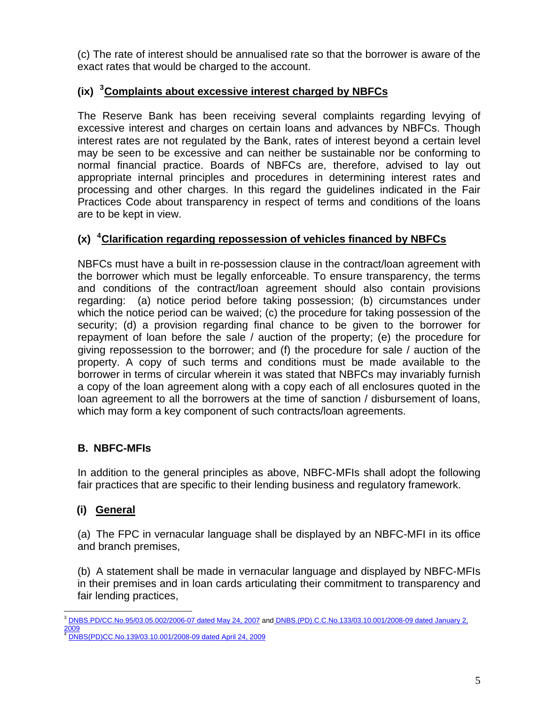(c) The rate of interest should be annualised rate so that the borrower is aware of the exact rates that would be charged to the account.

# **(ix) [3](#page-5-0) Complaints about excessive interest charged by NBFCs**

The Reserve Bank has been receiving several complaints regarding levying of excessive interest and charges on certain loans and advances by NBFCs. Though interest rates are not regulated by the Bank, rates of interest beyond a certain level may be seen to be excessive and can neither be sustainable nor be conforming to normal financial practice. Boards of NBFCs are, therefore, advised to lay out appropriate internal principles and procedures in determining interest rates and processing and other charges. In this regard the guidelines indicated in the Fair Practices Code about transparency in respect of terms and conditions of the loans are to be kept in view.

# **(x) [4](#page-5-1) Clarification regarding repossession of vehicles financed by NBFCs**

NBFCs must have a built in re-possession clause in the contract/loan agreement with the borrower which must be legally enforceable. To ensure transparency, the terms and conditions of the contract/loan agreement should also contain provisions regarding: (a) notice period before taking possession; (b) circumstances under which the notice period can be waived; (c) the procedure for taking possession of the security; (d) a provision regarding final chance to be given to the borrower for repayment of loan before the sale / auction of the property; (e) the procedure for giving repossession to the borrower; and (f) the procedure for sale / auction of the property. A copy of such terms and conditions must be made available to the borrower in terms of circular wherein it was stated that NBFCs may invariably furnish a copy of the loan agreement along with a copy each of all enclosures quoted in the loan agreement to all the borrowers at the time of sanction / disbursement of loans, which may form a key component of such contracts/loan agreements.

# **B. NBFC-MFIs**

In addition to the general principles as above, NBFC-MFIs shall adopt the following fair practices that are specific to their lending business and regulatory framework.

# **(i) General**

(a) The FPC in vernacular language shall be displayed by an NBFC-MFI in its office and branch premises,

(b) A statement shall be made in vernacular language and displayed by NBFC-MFIs in their premises and in loan cards articulating their commitment to transparency and fair lending practices,

<span id="page-5-0"></span> $\overline{a}$ <sup>3</sup> [DNBS.PD/CC.No.95/03.05.002/2006-07 dated May 24, 2007](http://rbi.org.in/scripts/NotificationUser.aspx?Id=3550&Mode=0) and [DNBS.\(PD\).C.C.No.133/03.10.001/2008-09 dated January 2,](http://rbi.org.in/scripts/NotificationUser.aspx?Id=4738&Mode=0)  [2009](http://rbi.org.in/scripts/NotificationUser.aspx?Id=4738&Mode=0)

<span id="page-5-1"></span><sup>4</sup> [DNBS\(PD\)CC.No.139/03.10.001/2008-09 dated April 24, 2009](http://rbi.org.in/scripts/NotificationUser.aspx?Id=4952&Mode=0)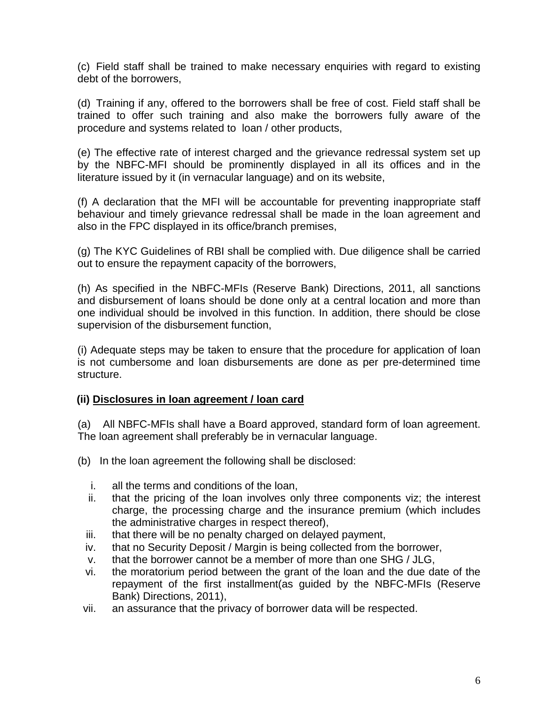(c) Field staff shall be trained to make necessary enquiries with regard to existing debt of the borrowers,

(d) Training if any, offered to the borrowers shall be free of cost. Field staff shall be trained to offer such training and also make the borrowers fully aware of the procedure and systems related to loan / other products,

(e) The effective rate of interest charged and the grievance redressal system set up by the NBFC-MFI should be prominently displayed in all its offices and in the literature issued by it (in vernacular language) and on its website,

(f) A declaration that the MFI will be accountable for preventing inappropriate staff behaviour and timely grievance redressal shall be made in the loan agreement and also in the FPC displayed in its office/branch premises,

(g) The KYC Guidelines of RBI shall be complied with. Due diligence shall be carried out to ensure the repayment capacity of the borrowers,

(h) As specified in the NBFC-MFIs (Reserve Bank) Directions, 2011, all sanctions and disbursement of loans should be done only at a central location and more than one individual should be involved in this function. In addition, there should be close supervision of the disbursement function,

(i) Adequate steps may be taken to ensure that the procedure for application of loan is not cumbersome and loan disbursements are done as per pre-determined time structure.

## **(ii) Disclosures in loan agreement / loan card**

(a) All NBFC-MFIs shall have a Board approved, standard form of loan agreement. The loan agreement shall preferably be in vernacular language.

- (b) In the loan agreement the following shall be disclosed:
	- i. all the terms and conditions of the loan,
	- ii. that the pricing of the loan involves only three components viz; the interest charge, the processing charge and the insurance premium (which includes the administrative charges in respect thereof),
	- iii. that there will be no penalty charged on delayed payment,
	- iv. that no Security Deposit / Margin is being collected from the borrower,
	- v. that the borrower cannot be a member of more than one SHG / JLG,
	- vi. the moratorium period between the grant of the loan and the due date of the repayment of the first installment(as guided by the NBFC-MFIs (Reserve Bank) Directions, 2011),
- vii. an assurance that the privacy of borrower data will be respected.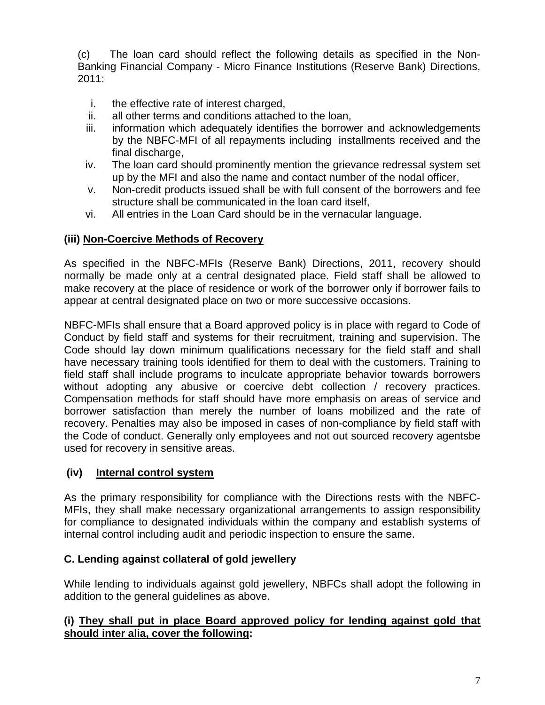(c) The loan card should reflect the following details as specified in the Non-Banking Financial Company - Micro Finance Institutions (Reserve Bank) Directions, 2011:

- i. the effective rate of interest charged,
- ii. all other terms and conditions attached to the loan,
- iii. information which adequately identifies the borrower and acknowledgements by the NBFC-MFI of all repayments including installments received and the final discharge,
- iv. The loan card should prominently mention the grievance redressal system set up by the MFI and also the name and contact number of the nodal officer,
- v. Non-credit products issued shall be with full consent of the borrowers and fee structure shall be communicated in the loan card itself,
- vi. All entries in the Loan Card should be in the vernacular language.

## **(iii) Non-Coercive Methods of Recovery**

As specified in the NBFC-MFIs (Reserve Bank) Directions, 2011, recovery should normally be made only at a central designated place. Field staff shall be allowed to make recovery at the place of residence or work of the borrower only if borrower fails to appear at central designated place on two or more successive occasions.

NBFC-MFIs shall ensure that a Board approved policy is in place with regard to Code of Conduct by field staff and systems for their recruitment, training and supervision. The Code should lay down minimum qualifications necessary for the field staff and shall have necessary training tools identified for them to deal with the customers. Training to field staff shall include programs to inculcate appropriate behavior towards borrowers without adopting any abusive or coercive debt collection / recovery practices. Compensation methods for staff should have more emphasis on areas of service and borrower satisfaction than merely the number of loans mobilized and the rate of recovery. Penalties may also be imposed in cases of non-compliance by field staff with the Code of conduct. Generally only employees and not out sourced recovery agentsbe used for recovery in sensitive areas.

## **(iv) Internal control system**

As the primary responsibility for compliance with the Directions rests with the NBFC-MFIs, they shall make necessary organizational arrangements to assign responsibility for compliance to designated individuals within the company and establish systems of internal control including audit and periodic inspection to ensure the same.

## **C. Lending against collateral of gold jewellery**

While lending to individuals against gold jewellery, NBFCs shall adopt the following in addition to the general guidelines as above.

## **(i) They shall put in place Board approved policy for lending against gold that should inter alia, cover the following:**